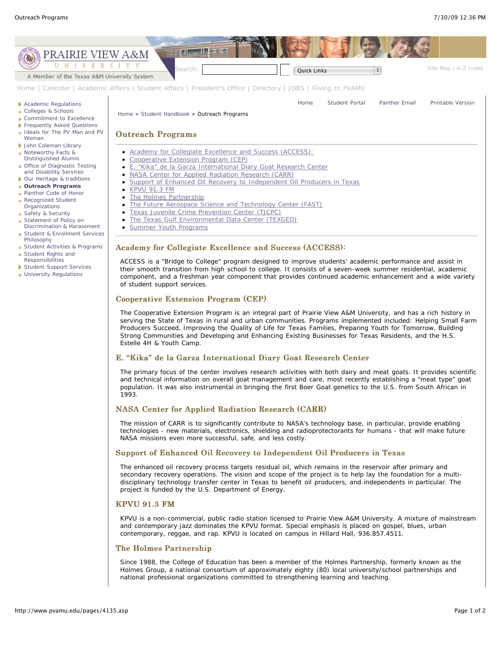

- Student & Enrollment Services Philosophy
- Student Rights and
- Student Support Services
- **University Regulations**
- 
- **Student Activities & Programs**
- Responsibilities
- 
- Summer Youth Programs

# Academy for Collegiate Excellence and Success (ACCESS):

ACCESS is a "Bridge to College" program designed to improve students' academic performance and assist in their smooth transition from high school to college. It consists of a seven-week summer residential, academic component, and a freshman year component that provides continued academic enhancement and a wide variety of student support services.

#### Cooperative Extension Program (CEP)

The Cooperative Extension Program is an integral part of Prairie View A&M University, and has a rich history in serving the State of Texas in rural and urban communities. Programs implemented included: Helping Small Farm Producers Succeed, Improving the Quality of Life for Texas Families, Preparing Youth for Tomorrow, Building Strong Communities and Developing and Enhancing Existing Businesses for Texas Residents, and the H.S. Estelle 4H & Youth Camp.

## E. "Kika" de la Garza International Diary Goat Research Center

The primary focus of the center involves research activities with both dairy and meat goats. It provides scientific and technical information on overall goat management and care, most recently establishing a "meat type" goat population. It was also instrumental in bringing the first Boer Goat genetics to the U.S. from South African in 1993.

## NASA Center for Applied Radiation Research (CARR)

The mission of CARR is to significantly contribute to NASA's technology base, in particular, provide enabling technologies - new materials, electronics, shielding and radioprotectorants for humans - that will make future NASA missions even more successful, safe, and less costly.

# Support of Enhanced Oil Recovery to Independent Oil Producers in Texas

The enhanced oil recovery process targets residual oil, which remains in the reservoir after primary and secondary recovery operations. The vision and scope of the project is to help lay the foundation for a multidisciplinary technology transfer center in Texas to benefit oil producers, and independents in particular. The project is funded by the U.S. Department of Energy.

# KPVU 91.3 FM

KPVU is a non-commercial, public radio station licensed to Prairie View A&M University. A mixture of mainstream and contemporary jazz dominates the KPVU format. Special emphasis is placed on gospel, blues, urban contemporary, reggae, and rap. KPVU is located on campus in Hillard Hall, 936.857.4511.

## The Holmes Partnership

Since 1988, the College of Education has been a member of the Holmes Partnership, formerly known as the Holmes Group, a national consortium of approximately eighty (80) local university/school partnerships and national professional organizations committed to strengthening learning and teaching.